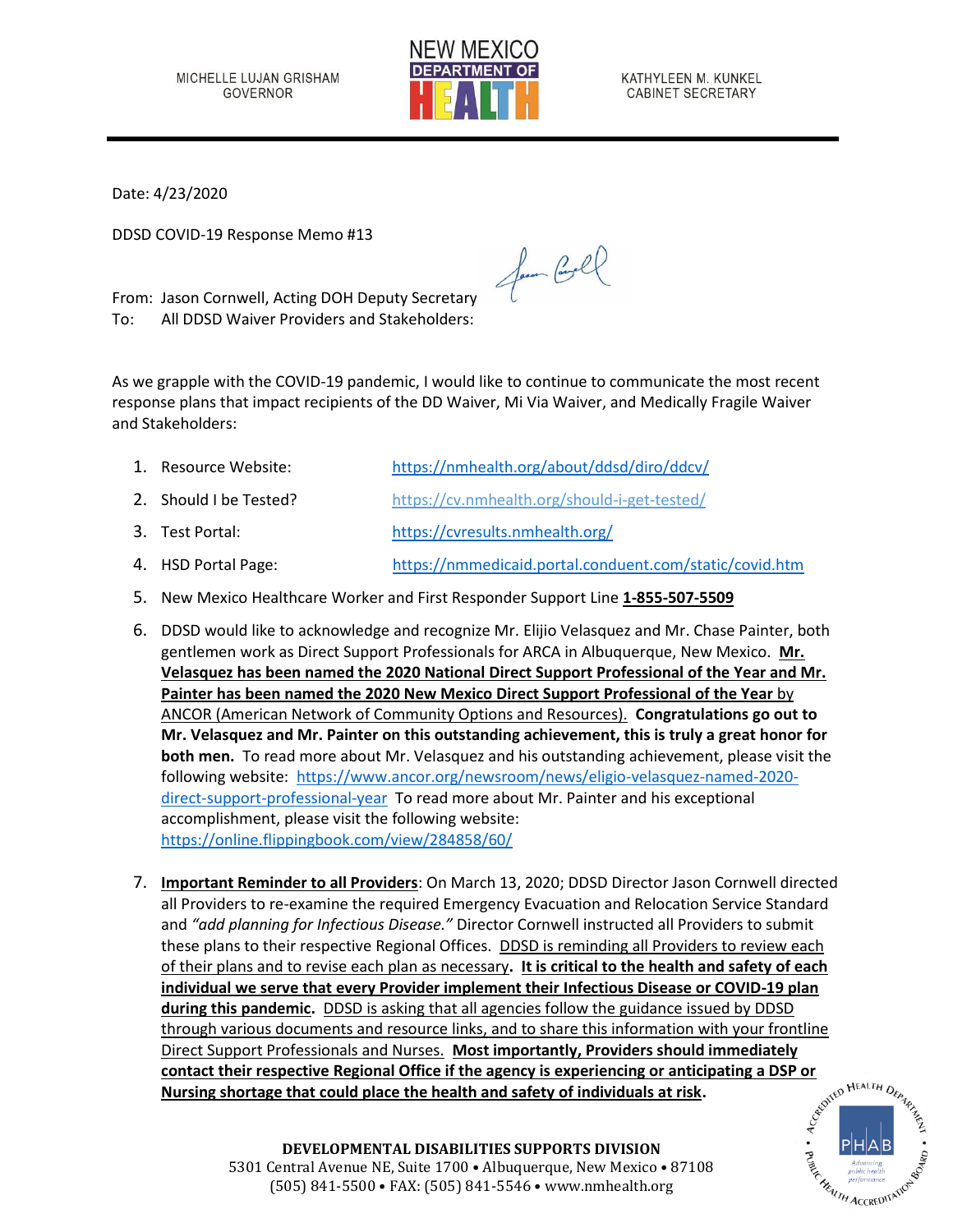

KATHYLEEN M. KUNKEL CABINET SECRETARY

Date: 4/23/2020

DDSD COVID-19 Response Memo #13

From: Jason Cornwell, Acting DOH Deputy Secretary To: All DDSD Waiver Providers and Stakeholders:

As we grapple with the COVID-19 pandemic, I would like to continue to communicate the most recent response plans that impact recipients of the DD Waiver, Mi Via Waiver, and Medically Fragile Waiver and Stakeholders:

for Cool

- 1. Resource Website: <https://nmhealth.org/about/ddsd/diro/ddcv/> 2. Should I be Tested? <https://cv.nmhealth.org/should-i-get-tested/> 3. Test Portal: <https://cvresults.nmhealth.org/> 4. HSD Portal Page: <https://nmmedicaid.portal.conduent.com/static/covid.htm>
- 5. New Mexico Healthcare Worker and First Responder Support Line **1-855-507-5509**
- 6. DDSD would like to acknowledge and recognize Mr. Elijio Velasquez and Mr. Chase Painter, both gentlemen work as Direct Support Professionals for ARCA in Albuquerque, New Mexico. **Mr. Velasquez has been named the 2020 National Direct Support Professional of the Year and Mr. Painter has been named the 2020 New Mexico Direct Support Professional of the Year** by ANCOR (American Network of Community Options and Resources). **Congratulations go out to Mr. Velasquez and Mr. Painter on this outstanding achievement, this is truly a great honor for both men.** To read more about Mr. Velasquez and his outstanding achievement, please visit the following website: [https://www.ancor.org/newsroom/news/eligio-velasquez-named-2020](https://www.ancor.org/newsroom/news/eligio-velasquez-named-2020-direct-support-professional-year) [direct-support-professional-year](https://www.ancor.org/newsroom/news/eligio-velasquez-named-2020-direct-support-professional-year) To read more about Mr. Painter and his exceptional accomplishment, please visit the following website: <https://online.flippingbook.com/view/284858/60/>
- 7. **Important Reminder to all Providers**: On March 13, 2020; DDSD Director Jason Cornwell directed all Providers to re-examine the required Emergency Evacuation and Relocation Service Standard and *"add planning for Infectious Disease."* Director Cornwell instructed all Providers to submit these plans to their respective Regional Offices. DDSD is reminding all Providers to review each of their plans and to revise each plan as necessary**. It is critical to the health and safety of each individual we serve that every Provider implement their Infectious Disease or COVID-19 plan during this pandemic.** DDSD is asking that all agencies follow the guidance issued by DDSD through various documents and resource links, and to share this information with your frontline Direct Support Professionals and Nurses. **Most importantly, Providers should immediately**<br> **Contact their respective Regional Office if the agency is experiencing or anticipating a DSP or<br>
Nursing shortage that could place contact their respective Regional Office if the agency is experiencing or anticipating a DSP or Nursing shortage that could place the health and safety of individuals at risk.**



**DEVELOPMENTAL DISABILITIES SUPPORTS DIVISION** 5301 Central Avenue NE, Suite 1700 • Albuquerque, New Mexico • 87108 (505) 841-5500 • FAX: (505) 841-5546 • www.nmhealth.org